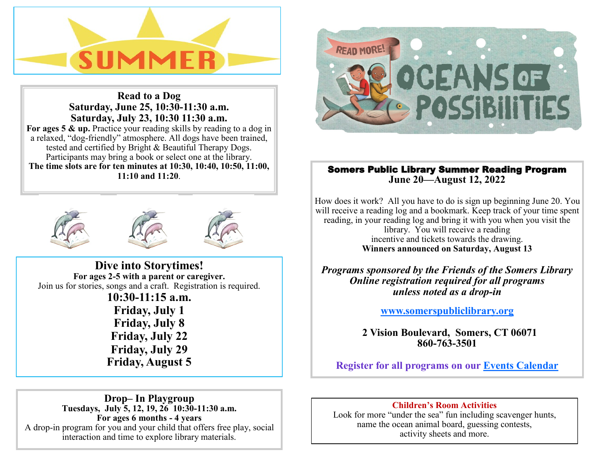

**Read to a Dog Saturday, June 25, 10:30-11:30 a.m. Saturday, July 23, 10:30 11:30 a.m.**  For ages 5 & up. Practice your reading skills by reading to a dog in a relaxed, "dog-friendly" atmosphere. All dogs have been trained, tested and certified by Bright & Beautiful Therapy Dogs. Participants may bring a book or select one at the library. **The time slots are for ten minutes at 10:30, 10:40, 10:50, 11:00, 11:10 and 11:20**.





**Dive into Storytimes! For ages 2-5 with a parent or caregiver.**  Join us for stories, songs and a craft. Registration is required. **10:30-11:15 a.m. Friday, July 1 Friday, July 8 Friday, July 22 Friday, July 29 Friday, August 5**



# Somers Public Library Summer Reading Program **June 20—August 12, 2022**

How does it work? All you have to do is sign up beginning June 20. You will receive a reading log and a bookmark. Keep track of your time spent reading, in your reading log and bring it with you when you visit the library. You will receive a reading incentive and tickets towards the drawing. **Winners announced on Saturday, August 13** 

*Programs sponsored by the Friends of the Somers Library Online registration required for all programs unless noted as a drop-in*

**[www.somerspubliclibrary.org](http://www.somerspubliclibrary.org)**

 **2 Vision Boulevard, Somers, CT 06071 860-763-3501**

**Register for all programs on our [Events Calendar](http://www.eventkeeper.com/mars/xpages/S/SOMERS/ekp.cfm?curOrg=SOMERS)**

**Drop– In Playgroup Tuesdays, July 5, 12, 19, 26 10:30-11:30 a.m. For ages 6 months - 4 years** A drop-in program for you and your child that offers free play, social interaction and time to explore library materials.

## **Children's Room Activities**

Look for more "under the sea" fun including scavenger hunts, name the ocean animal board, guessing contests, activity sheets and more.